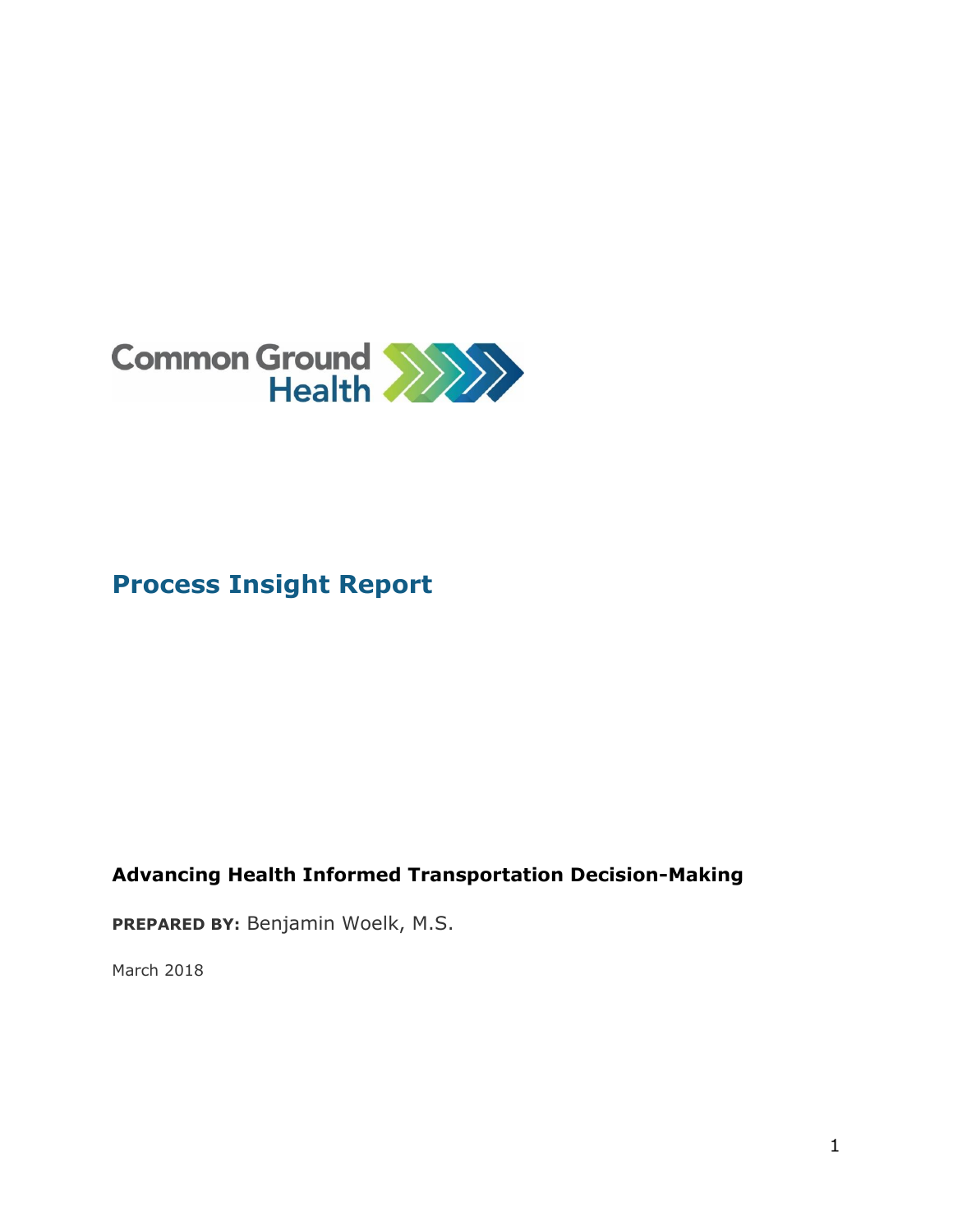

### **Process Insight Report**

### **Advancing Health Informed Transportation Decision-Making**

**PREPARED BY:** Benjamin Woelk, M.S.

March 2018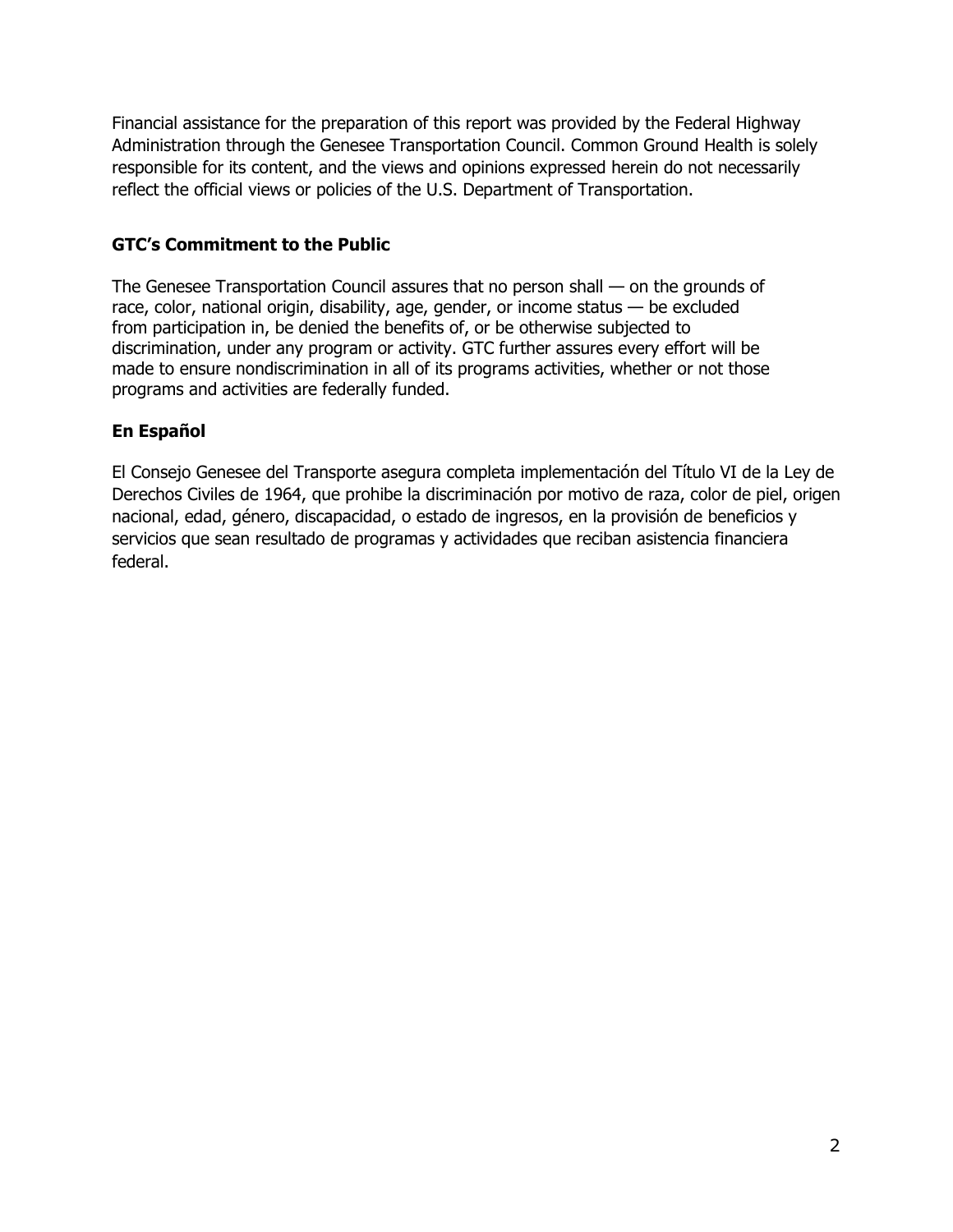Financial assistance for the preparation of this report was provided by the Federal Highway Administration through the Genesee Transportation Council. Common Ground Health is solely responsible for its content, and the views and opinions expressed herein do not necessarily reflect the official views or policies of the U.S. Department of Transportation.

#### **GTC's Commitment to the Public**

The Genesee Transportation Council assures that no person shall — on the grounds of race, color, national origin, disability, age, gender, or income status — be excluded from participation in, be denied the benefits of, or be otherwise subjected to discrimination, under any program or activity. GTC further assures every effort will be made to ensure nondiscrimination in all of its programs activities, whether or not those programs and activities are federally funded.

#### **En Español**

El Consejo Genesee del Transporte asegura completa implementación del Título VI de la Ley de Derechos Civiles de 1964, que prohibe la discriminación por motivo de raza, color de piel, origen nacional, edad, género, discapacidad, o estado de ingresos, en la provisión de beneficios y servicios que sean resultado de programas y actividades que reciban asistencia financiera federal.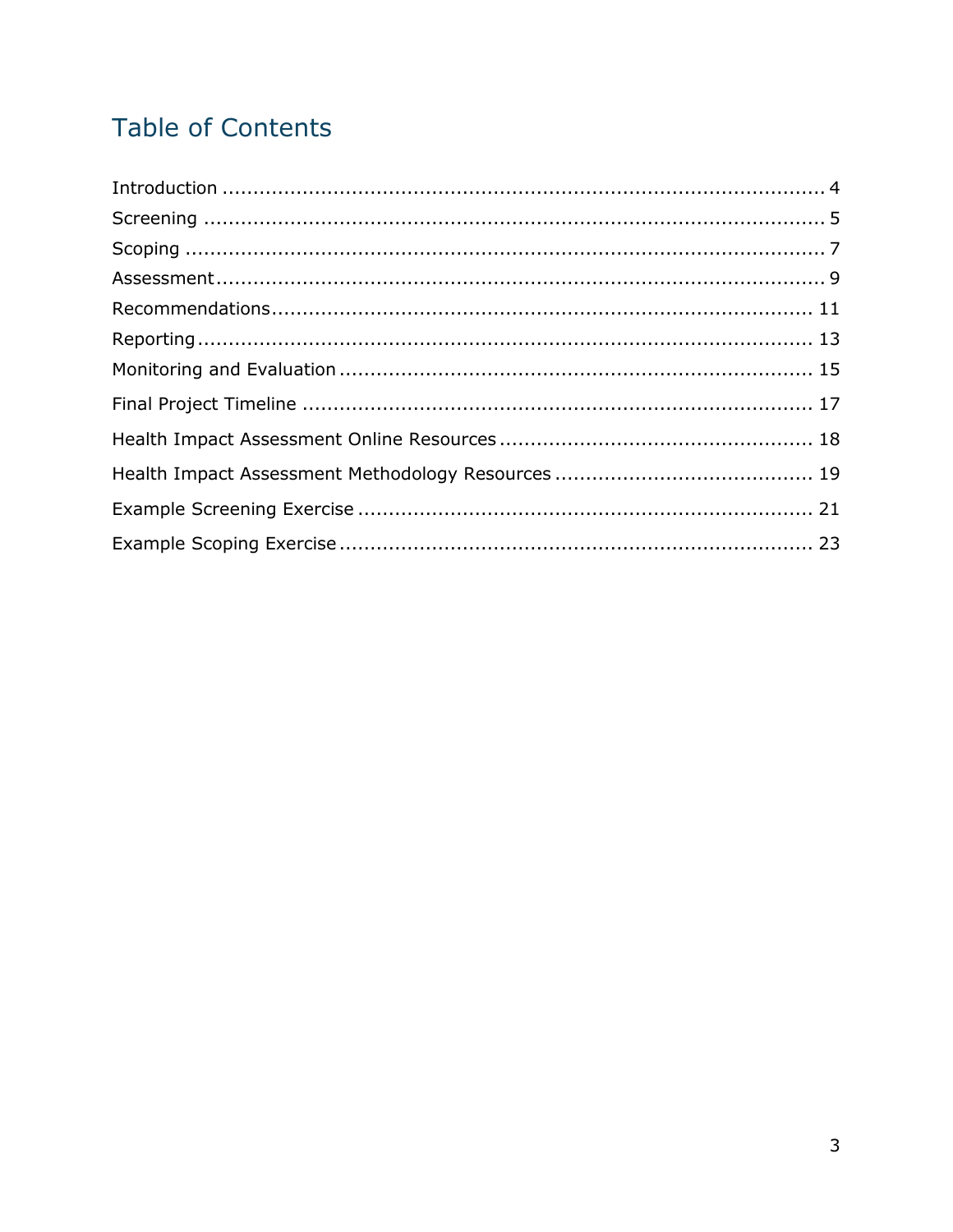# **Table of Contents**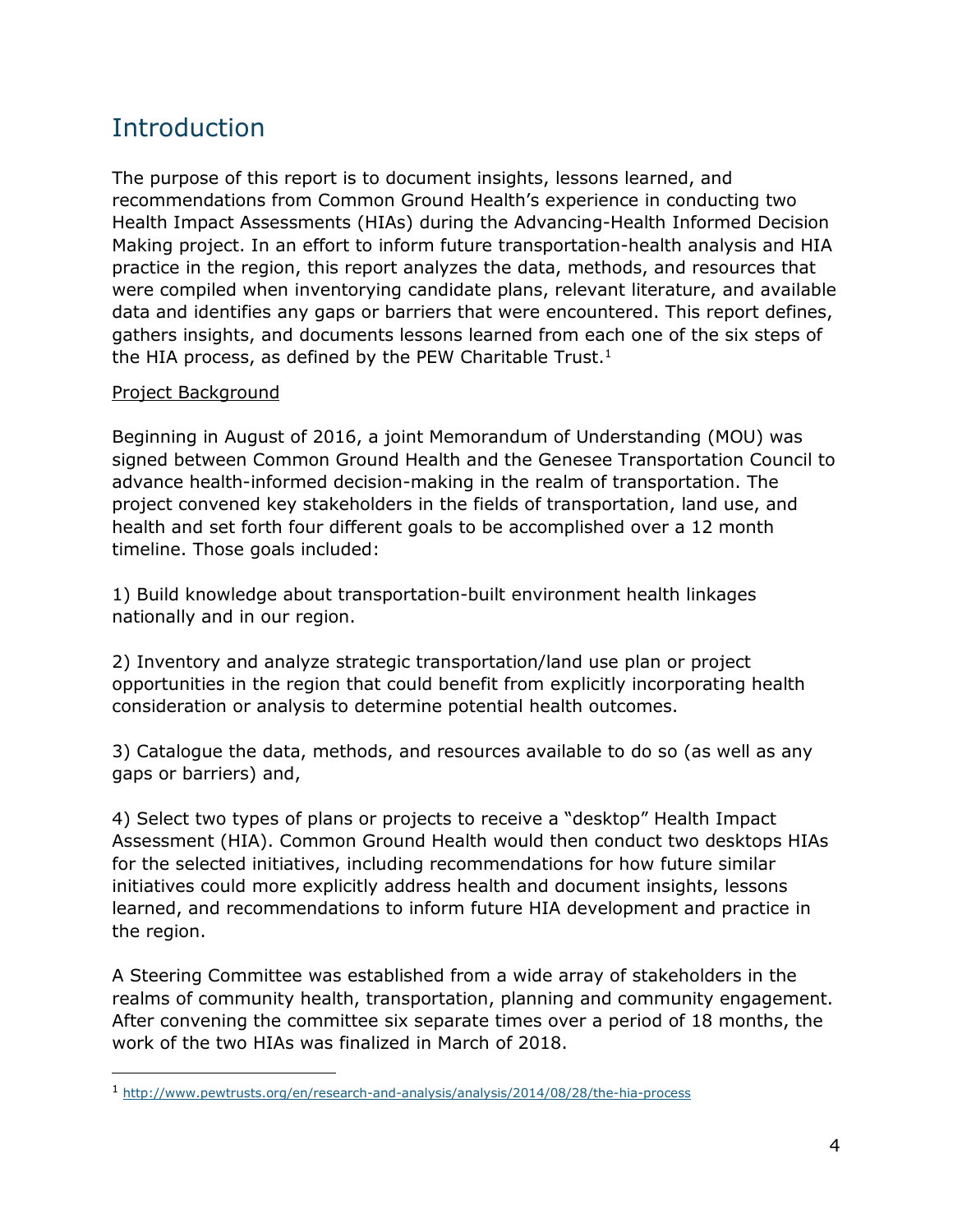### Introduction

The purpose of this report is to document insights, lessons learned, and recommendations from Common Ground Health's experience in conducting two Health Impact Assessments (HIAs) during the Advancing-Health Informed Decision Making project. In an effort to inform future transportation-health analysis and HIA practice in the region, this report analyzes the data, methods, and resources that were compiled when inventorying candidate plans, relevant literature, and available data and identifies any gaps or barriers that were encountered. This report defines, gathers insights, and documents lessons learned from each one of the six steps of the HIA process, as defined by the PEW Charitable Trust.<sup>1</sup>

#### Project Background

j

Beginning in August of 2016, a joint Memorandum of Understanding (MOU) was signed between Common Ground Health and the Genesee Transportation Council to advance health-informed decision-making in the realm of transportation. The project convened key stakeholders in the fields of transportation, land use, and health and set forth four different goals to be accomplished over a 12 month timeline. Those goals included:

1) Build knowledge about transportation-built environment health linkages nationally and in our region.

2) Inventory and analyze strategic transportation/land use plan or project opportunities in the region that could benefit from explicitly incorporating health consideration or analysis to determine potential health outcomes.

3) Catalogue the data, methods, and resources available to do so (as well as any gaps or barriers) and,

4) Select two types of plans or projects to receive a "desktop" Health Impact Assessment (HIA). Common Ground Health would then conduct two desktops HIAs for the selected initiatives, including recommendations for how future similar initiatives could more explicitly address health and document insights, lessons learned, and recommendations to inform future HIA development and practice in the region.

A Steering Committee was established from a wide array of stakeholders in the realms of community health, transportation, planning and community engagement. After convening the committee six separate times over a period of 18 months, the work of the two HIAs was finalized in March of 2018.

<sup>1</sup> <http://www.pewtrusts.org/en/research-and-analysis/analysis/2014/08/28/the-hia-process>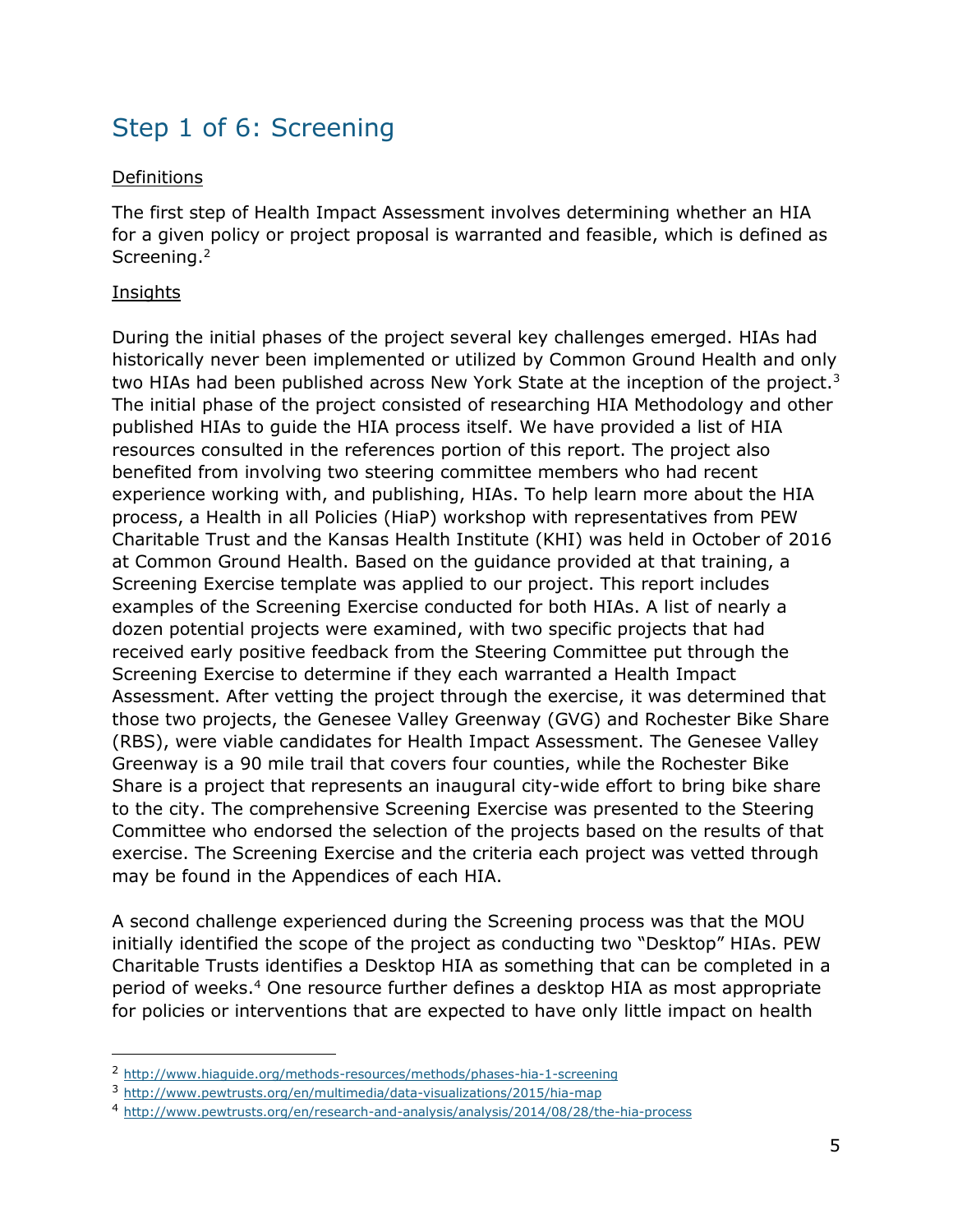### Step 1 of 6: Screening

#### Definitions

The first step of Health Impact Assessment involves determining whether an HIA for a given policy or project proposal is warranted and feasible, which is defined as Screening.<sup>2</sup>

#### Insights

-

During the initial phases of the project several key challenges emerged. HIAs had historically never been implemented or utilized by Common Ground Health and only two HIAs had been published across New York State at the inception of the project.<sup>3</sup> The initial phase of the project consisted of researching HIA Methodology and other published HIAs to guide the HIA process itself. We have provided a list of HIA resources consulted in the references portion of this report. The project also benefited from involving two steering committee members who had recent experience working with, and publishing, HIAs. To help learn more about the HIA process, a Health in all Policies (HiaP) workshop with representatives from PEW Charitable Trust and the Kansas Health Institute (KHI) was held in October of 2016 at Common Ground Health. Based on the guidance provided at that training, a Screening Exercise template was applied to our project. This report includes examples of the Screening Exercise conducted for both HIAs. A list of nearly a dozen potential projects were examined, with two specific projects that had received early positive feedback from the Steering Committee put through the Screening Exercise to determine if they each warranted a Health Impact Assessment. After vetting the project through the exercise, it was determined that those two projects, the Genesee Valley Greenway (GVG) and Rochester Bike Share (RBS), were viable candidates for Health Impact Assessment. The Genesee Valley Greenway is a 90 mile trail that covers four counties, while the Rochester Bike Share is a project that represents an inaugural city-wide effort to bring bike share to the city. The comprehensive Screening Exercise was presented to the Steering Committee who endorsed the selection of the projects based on the results of that exercise. The Screening Exercise and the criteria each project was vetted through may be found in the Appendices of each HIA.

A second challenge experienced during the Screening process was that the MOU initially identified the scope of the project as conducting two "Desktop" HIAs. PEW Charitable Trusts identifies a Desktop HIA as something that can be completed in a period of weeks. <sup>4</sup> One resource further defines a desktop HIA as most appropriate for policies or interventions that are expected to have only little impact on health

<sup>2</sup> <http://www.hiaguide.org/methods-resources/methods/phases-hia-1-screening>

<sup>3</sup> <http://www.pewtrusts.org/en/multimedia/data-visualizations/2015/hia-map>

<sup>4</sup> <http://www.pewtrusts.org/en/research-and-analysis/analysis/2014/08/28/the-hia-process>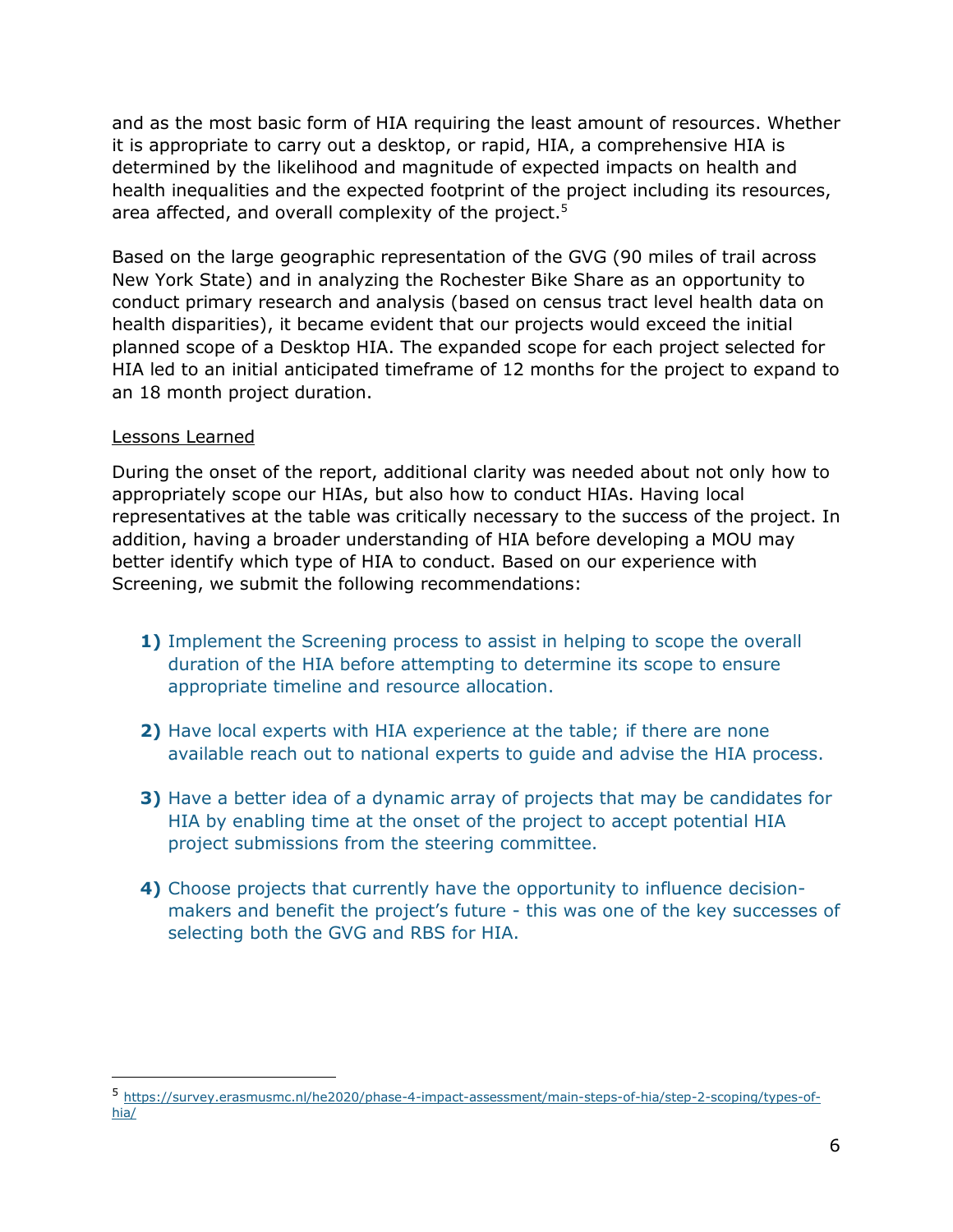and as the most basic form of HIA requiring the least amount of resources. Whether it is appropriate to carry out a desktop, or rapid, HIA, a comprehensive HIA is determined by the likelihood and magnitude of expected impacts on health and health inequalities and the expected footprint of the project including its resources, area affected, and overall complexity of the project.<sup>5</sup>

Based on the large geographic representation of the GVG (90 miles of trail across New York State) and in analyzing the Rochester Bike Share as an opportunity to conduct primary research and analysis (based on census tract level health data on health disparities), it became evident that our projects would exceed the initial planned scope of a Desktop HIA. The expanded scope for each project selected for HIA led to an initial anticipated timeframe of 12 months for the project to expand to an 18 month project duration.

#### Lessons Learned

 $\overline{a}$ 

During the onset of the report, additional clarity was needed about not only how to appropriately scope our HIAs, but also how to conduct HIAs. Having local representatives at the table was critically necessary to the success of the project. In addition, having a broader understanding of HIA before developing a MOU may better identify which type of HIA to conduct. Based on our experience with Screening, we submit the following recommendations:

- **1)** Implement the Screening process to assist in helping to scope the overall duration of the HIA before attempting to determine its scope to ensure appropriate timeline and resource allocation.
- **2)** Have local experts with HIA experience at the table; if there are none available reach out to national experts to guide and advise the HIA process.
- **3)** Have a better idea of a dynamic array of projects that may be candidates for HIA by enabling time at the onset of the project to accept potential HIA project submissions from the steering committee.
- **4)** Choose projects that currently have the opportunity to influence decisionmakers and benefit the project's future - this was one of the key successes of selecting both the GVG and RBS for HIA.

<sup>5</sup> [https://survey.erasmusmc.nl/he2020/phase-4-impact-assessment/main-steps-of-hia/step-2-scoping/types-of](https://survey.erasmusmc.nl/he2020/phase-4-impact-assessment/main-steps-of-hia/step-2-scoping/types-of-hia/)[hia/](https://survey.erasmusmc.nl/he2020/phase-4-impact-assessment/main-steps-of-hia/step-2-scoping/types-of-hia/)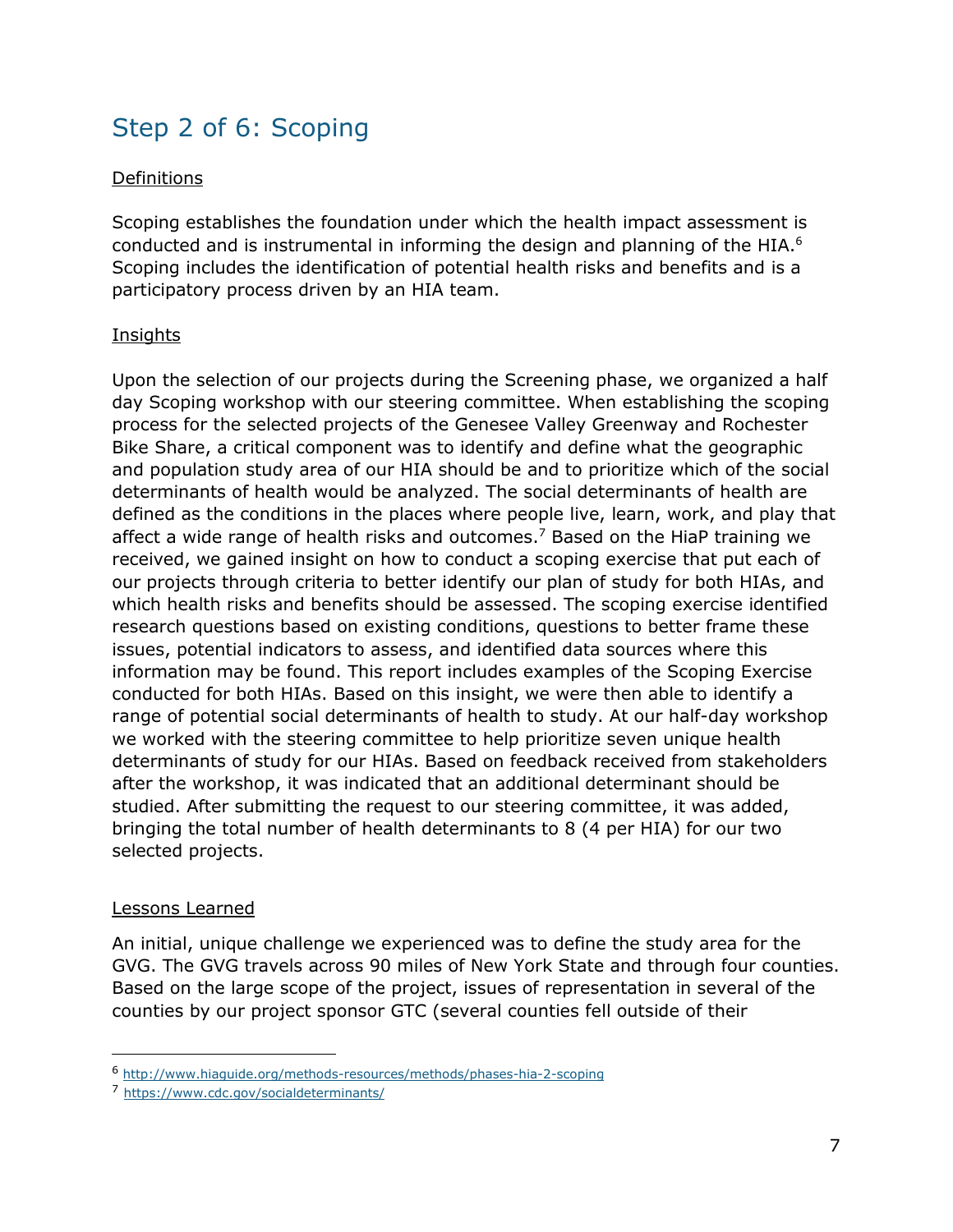## Step 2 of 6: Scoping

#### Definitions

Scoping establishes the foundation under which the health impact assessment is conducted and is instrumental in informing the design and planning of the HIA.<sup>6</sup> Scoping includes the identification of potential health risks and benefits and is a participatory process driven by an HIA team.

#### Insights

Upon the selection of our projects during the Screening phase, we organized a half day Scoping workshop with our steering committee. When establishing the scoping process for the selected projects of the Genesee Valley Greenway and Rochester Bike Share, a critical component was to identify and define what the geographic and population study area of our HIA should be and to prioritize which of the social determinants of health would be analyzed. The social determinants of health are defined as the conditions in the places where people live, learn, work, and play that affect a wide range of health risks and outcomes. <sup>7</sup> Based on the HiaP training we received, we gained insight on how to conduct a scoping exercise that put each of our projects through criteria to better identify our plan of study for both HIAs, and which health risks and benefits should be assessed. The scoping exercise identified research questions based on existing conditions, questions to better frame these issues, potential indicators to assess, and identified data sources where this information may be found. This report includes examples of the Scoping Exercise conducted for both HIAs. Based on this insight, we were then able to identify a range of potential social determinants of health to study. At our half-day workshop we worked with the steering committee to help prioritize seven unique health determinants of study for our HIAs. Based on feedback received from stakeholders after the workshop, it was indicated that an additional determinant should be studied. After submitting the request to our steering committee, it was added, bringing the total number of health determinants to 8 (4 per HIA) for our two selected projects.

#### Lessons Learned

-

An initial, unique challenge we experienced was to define the study area for the GVG. The GVG travels across 90 miles of New York State and through four counties. Based on the large scope of the project, issues of representation in several of the counties by our project sponsor GTC (several counties fell outside of their

<sup>6</sup> <http://www.hiaguide.org/methods-resources/methods/phases-hia-2-scoping>

<sup>7</sup> <https://www.cdc.gov/socialdeterminants/>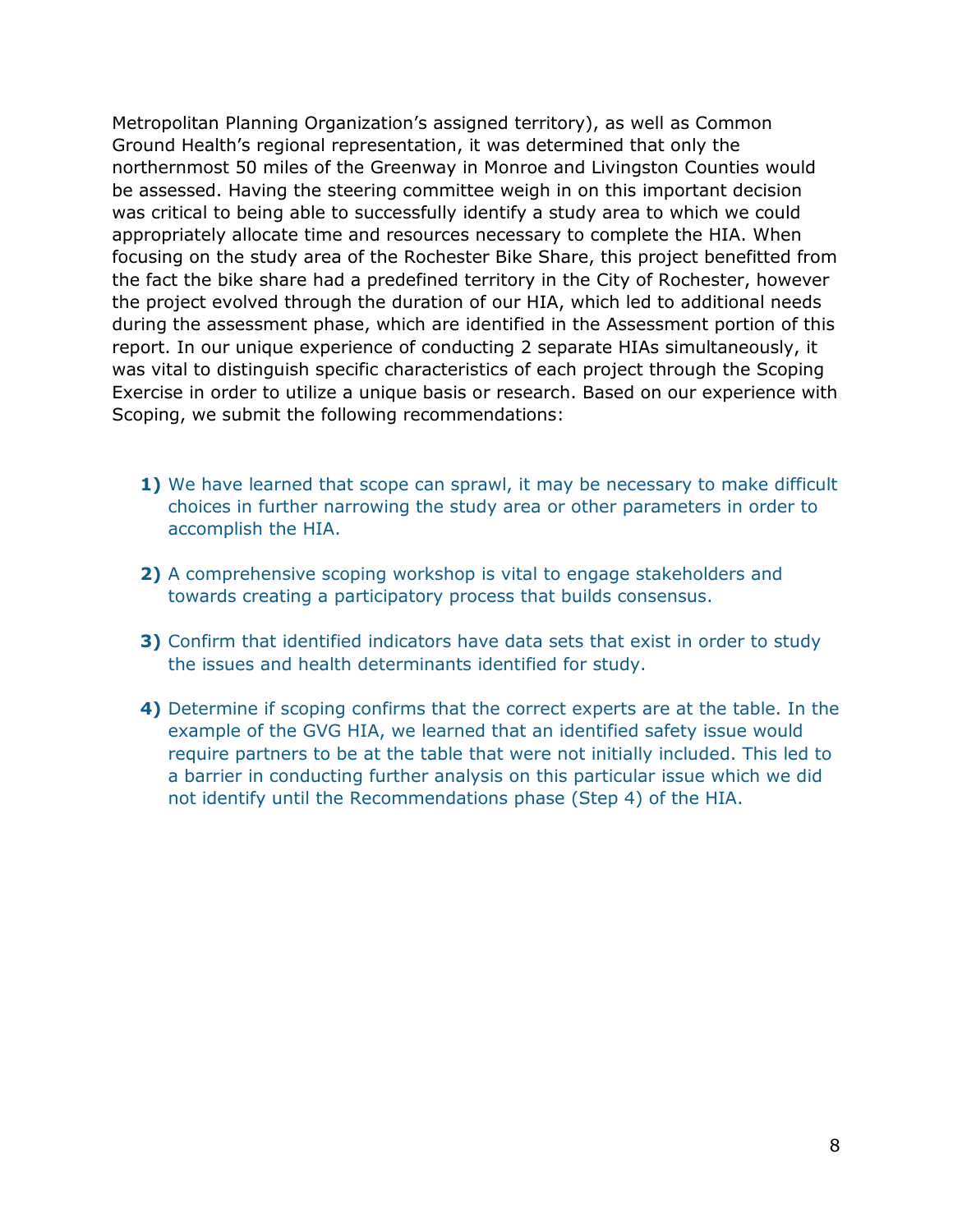Metropolitan Planning Organization's assigned territory), as well as Common Ground Health's regional representation, it was determined that only the northernmost 50 miles of the Greenway in Monroe and Livingston Counties would be assessed. Having the steering committee weigh in on this important decision was critical to being able to successfully identify a study area to which we could appropriately allocate time and resources necessary to complete the HIA. When focusing on the study area of the Rochester Bike Share, this project benefitted from the fact the bike share had a predefined territory in the City of Rochester, however the project evolved through the duration of our HIA, which led to additional needs during the assessment phase, which are identified in the Assessment portion of this report. In our unique experience of conducting 2 separate HIAs simultaneously, it was vital to distinguish specific characteristics of each project through the Scoping Exercise in order to utilize a unique basis or research. Based on our experience with Scoping, we submit the following recommendations:

- **1)** We have learned that scope can sprawl, it may be necessary to make difficult choices in further narrowing the study area or other parameters in order to accomplish the HIA.
- **2)** A comprehensive scoping workshop is vital to engage stakeholders and towards creating a participatory process that builds consensus.
- **3)** Confirm that identified indicators have data sets that exist in order to study the issues and health determinants identified for study.
- **4)** Determine if scoping confirms that the correct experts are at the table. In the example of the GVG HIA, we learned that an identified safety issue would require partners to be at the table that were not initially included. This led to a barrier in conducting further analysis on this particular issue which we did not identify until the Recommendations phase (Step 4) of the HIA.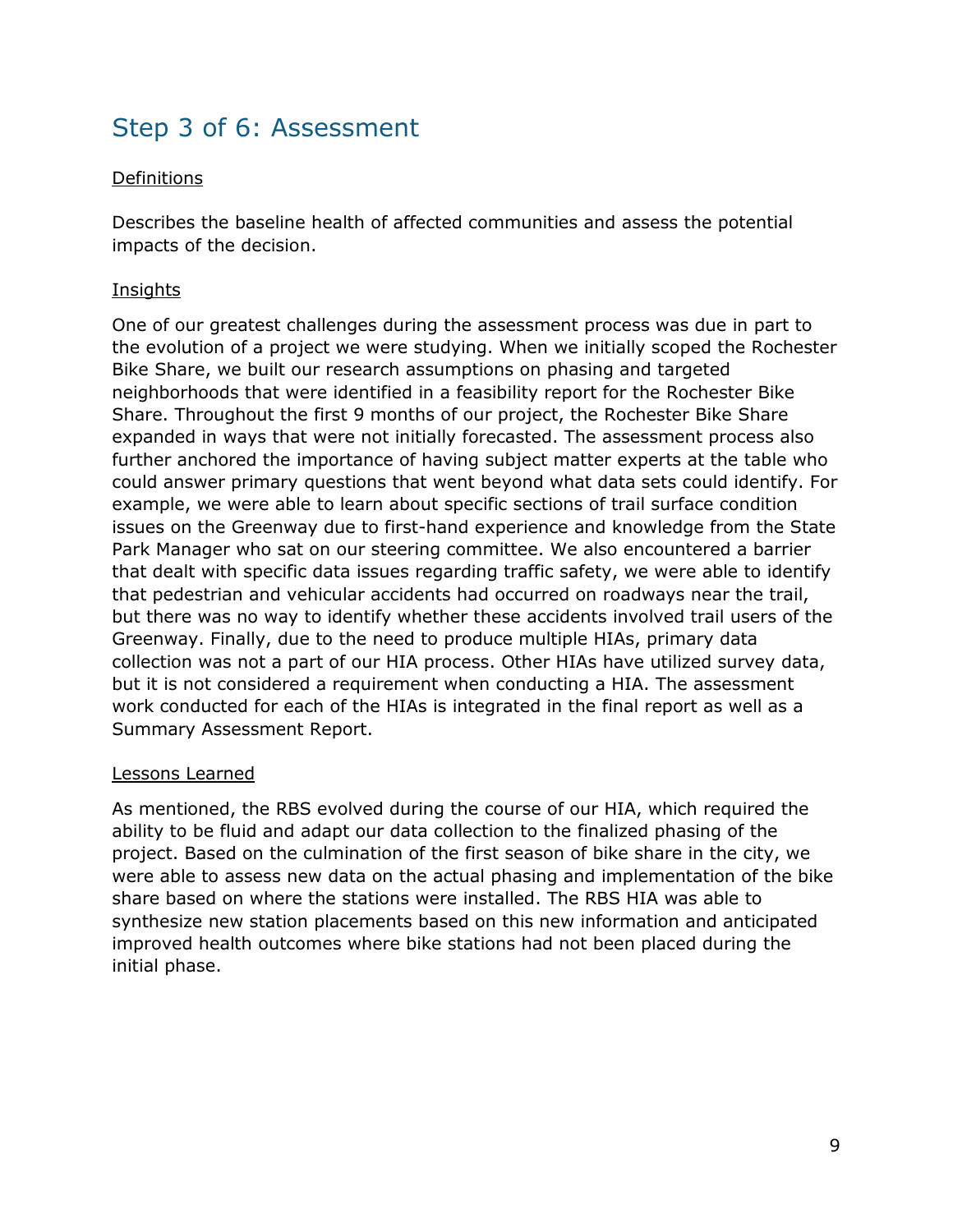### Step 3 of 6: Assessment

#### Definitions

Describes the baseline health of affected communities and assess the potential impacts of the decision.

#### **Insights**

One of our greatest challenges during the assessment process was due in part to the evolution of a project we were studying. When we initially scoped the Rochester Bike Share, we built our research assumptions on phasing and targeted neighborhoods that were identified in a feasibility report for the Rochester Bike Share. Throughout the first 9 months of our project, the Rochester Bike Share expanded in ways that were not initially forecasted. The assessment process also further anchored the importance of having subject matter experts at the table who could answer primary questions that went beyond what data sets could identify. For example, we were able to learn about specific sections of trail surface condition issues on the Greenway due to first-hand experience and knowledge from the State Park Manager who sat on our steering committee. We also encountered a barrier that dealt with specific data issues regarding traffic safety, we were able to identify that pedestrian and vehicular accidents had occurred on roadways near the trail, but there was no way to identify whether these accidents involved trail users of the Greenway. Finally, due to the need to produce multiple HIAs, primary data collection was not a part of our HIA process. Other HIAs have utilized survey data, but it is not considered a requirement when conducting a HIA. The assessment work conducted for each of the HIAs is integrated in the final report as well as a Summary Assessment Report.

#### Lessons Learned

As mentioned, the RBS evolved during the course of our HIA, which required the ability to be fluid and adapt our data collection to the finalized phasing of the project. Based on the culmination of the first season of bike share in the city, we were able to assess new data on the actual phasing and implementation of the bike share based on where the stations were installed. The RBS HIA was able to synthesize new station placements based on this new information and anticipated improved health outcomes where bike stations had not been placed during the initial phase.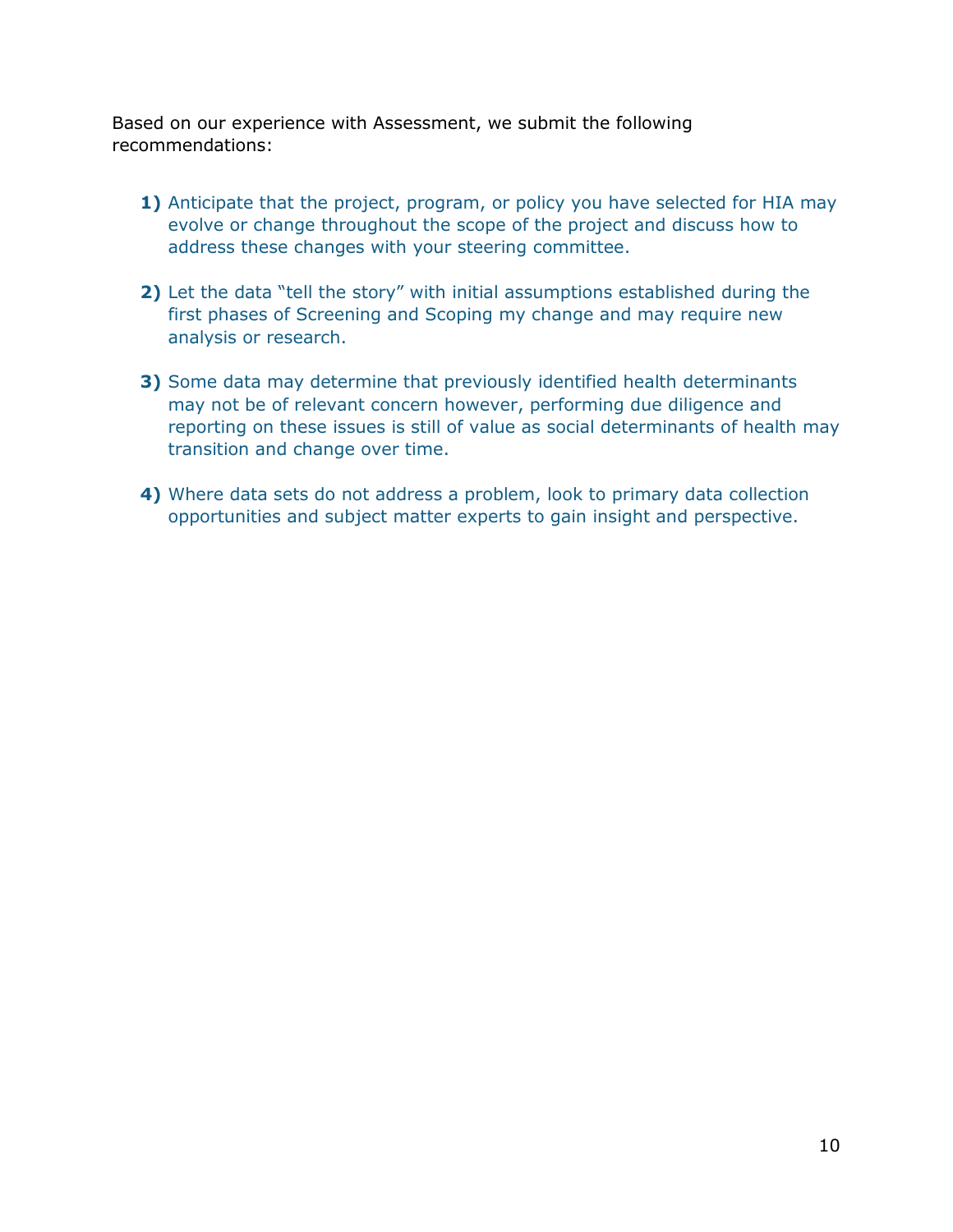Based on our experience with Assessment, we submit the following recommendations:

- **1)** Anticipate that the project, program, or policy you have selected for HIA may evolve or change throughout the scope of the project and discuss how to address these changes with your steering committee.
- **2)** Let the data "tell the story" with initial assumptions established during the first phases of Screening and Scoping my change and may require new analysis or research.
- **3)** Some data may determine that previously identified health determinants may not be of relevant concern however, performing due diligence and reporting on these issues is still of value as social determinants of health may transition and change over time.
- **4)** Where data sets do not address a problem, look to primary data collection opportunities and subject matter experts to gain insight and perspective.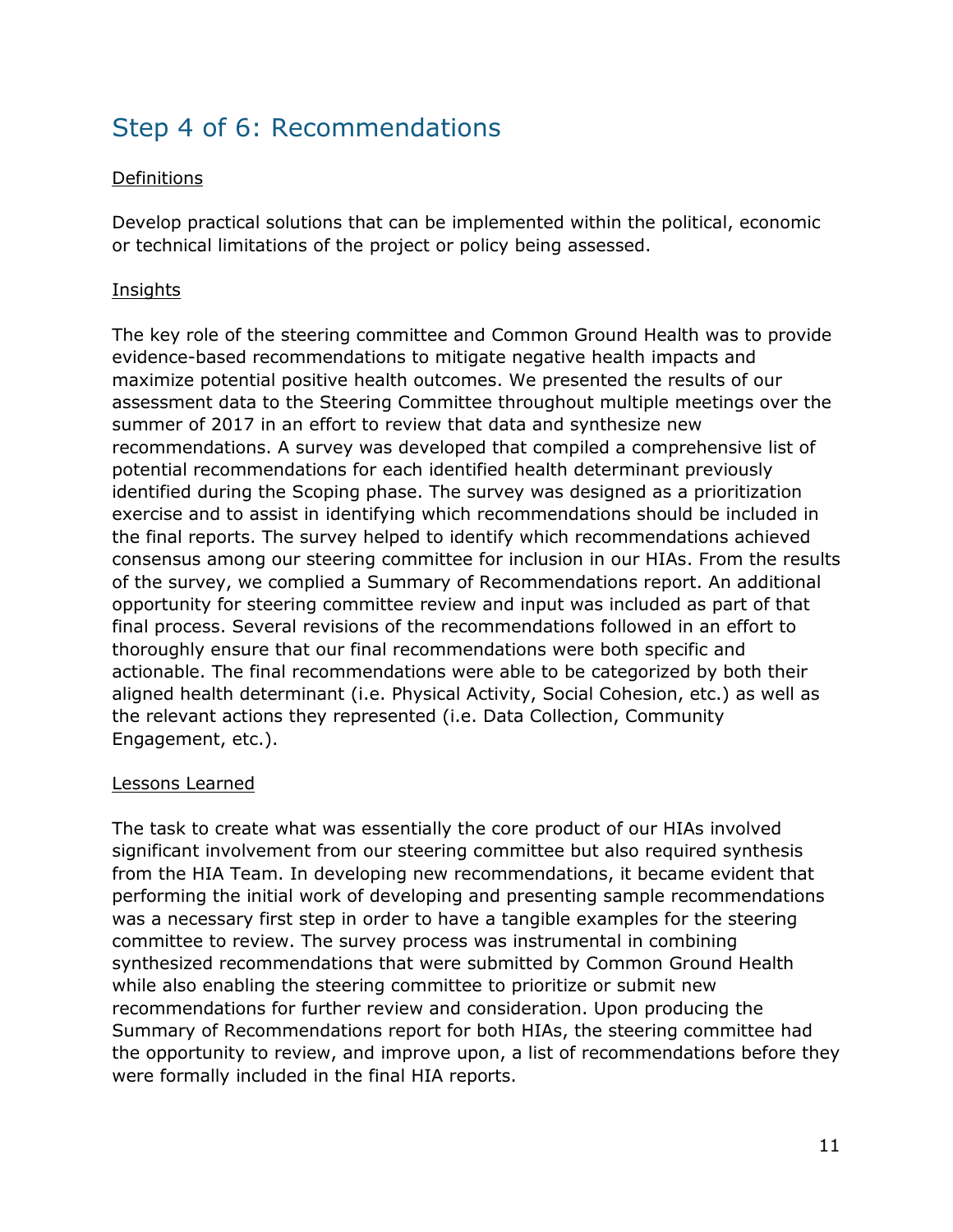### Step 4 of 6: Recommendations

#### Definitions

Develop practical solutions that can be implemented within the political, economic or technical limitations of the project or policy being assessed.

#### **Insights**

The key role of the steering committee and Common Ground Health was to provide evidence-based recommendations to mitigate negative health impacts and maximize potential positive health outcomes. We presented the results of our assessment data to the Steering Committee throughout multiple meetings over the summer of 2017 in an effort to review that data and synthesize new recommendations. A survey was developed that compiled a comprehensive list of potential recommendations for each identified health determinant previously identified during the Scoping phase. The survey was designed as a prioritization exercise and to assist in identifying which recommendations should be included in the final reports. The survey helped to identify which recommendations achieved consensus among our steering committee for inclusion in our HIAs. From the results of the survey, we complied a Summary of Recommendations report. An additional opportunity for steering committee review and input was included as part of that final process. Several revisions of the recommendations followed in an effort to thoroughly ensure that our final recommendations were both specific and actionable. The final recommendations were able to be categorized by both their aligned health determinant (i.e. Physical Activity, Social Cohesion, etc.) as well as the relevant actions they represented (i.e. Data Collection, Community Engagement, etc.).

#### Lessons Learned

The task to create what was essentially the core product of our HIAs involved significant involvement from our steering committee but also required synthesis from the HIA Team. In developing new recommendations, it became evident that performing the initial work of developing and presenting sample recommendations was a necessary first step in order to have a tangible examples for the steering committee to review. The survey process was instrumental in combining synthesized recommendations that were submitted by Common Ground Health while also enabling the steering committee to prioritize or submit new recommendations for further review and consideration. Upon producing the Summary of Recommendations report for both HIAs, the steering committee had the opportunity to review, and improve upon, a list of recommendations before they were formally included in the final HIA reports.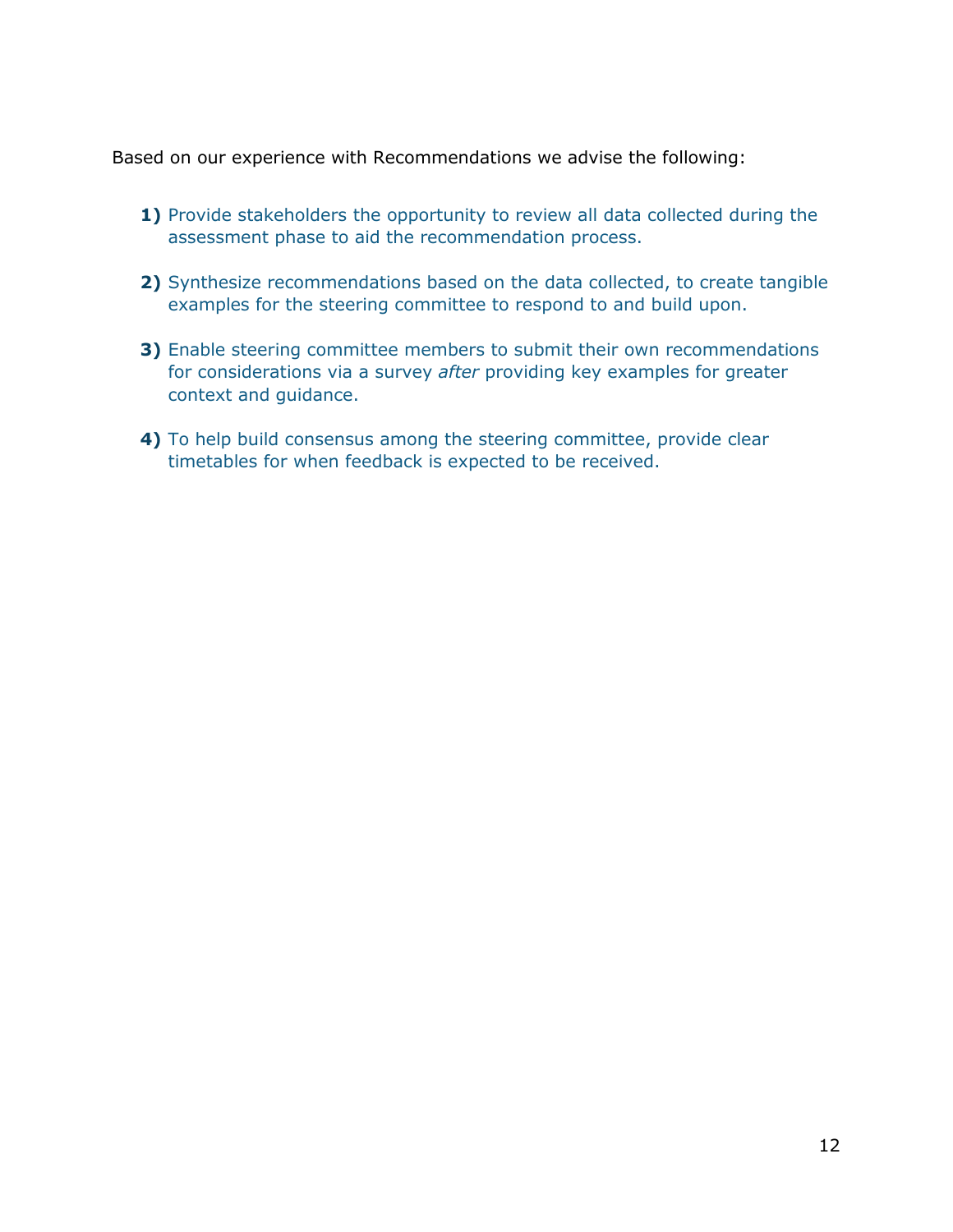Based on our experience with Recommendations we advise the following:

- **1)** Provide stakeholders the opportunity to review all data collected during the assessment phase to aid the recommendation process.
- **2)** Synthesize recommendations based on the data collected, to create tangible examples for the steering committee to respond to and build upon.
- **3)** Enable steering committee members to submit their own recommendations for considerations via a survey *after* providing key examples for greater context and guidance.
- **4)** To help build consensus among the steering committee, provide clear timetables for when feedback is expected to be received.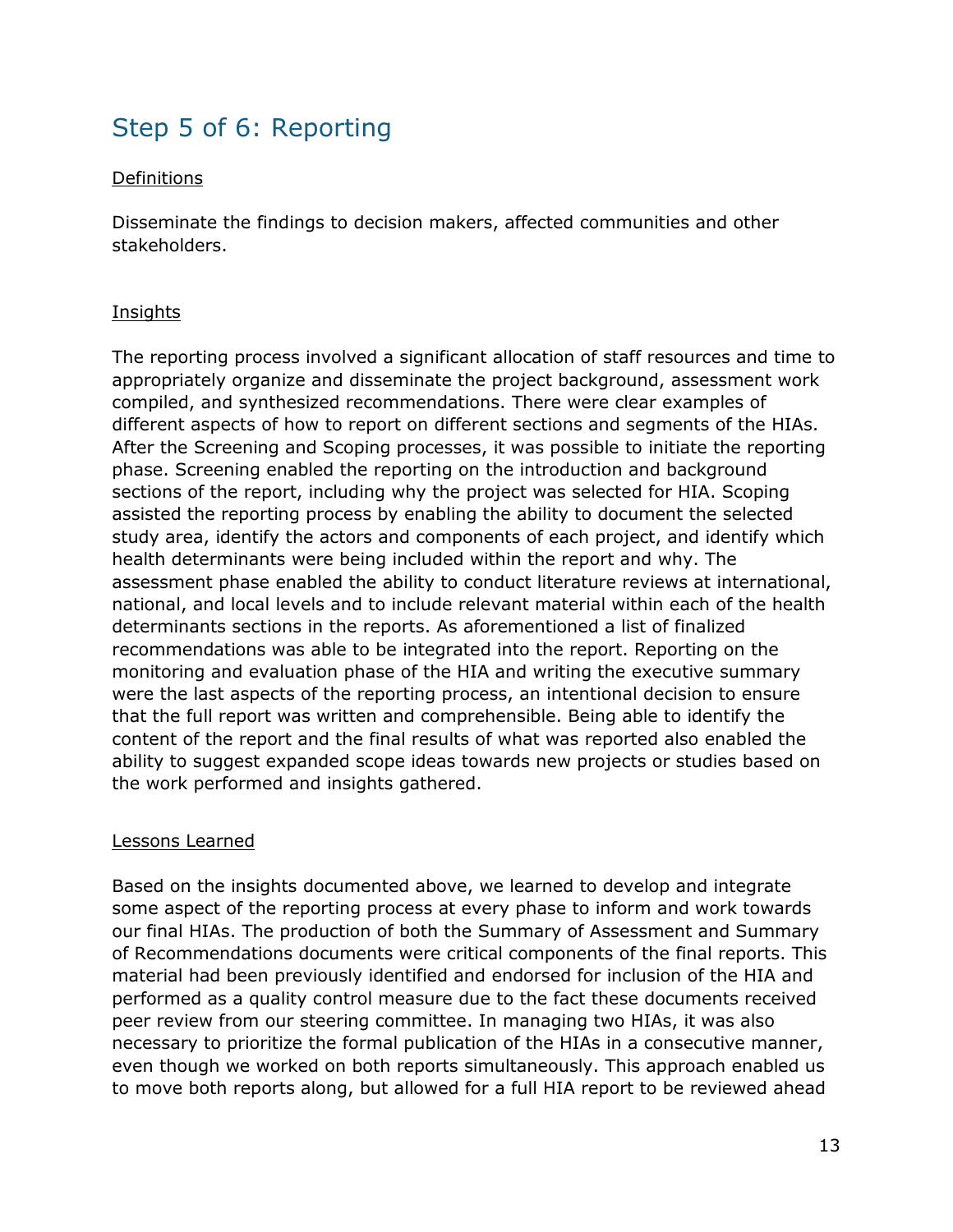### Step 5 of 6: Reporting

#### Definitions

Disseminate the findings to decision makers, affected communities and other stakeholders.

#### Insights

The reporting process involved a significant allocation of staff resources and time to appropriately organize and disseminate the project background, assessment work compiled, and synthesized recommendations. There were clear examples of different aspects of how to report on different sections and segments of the HIAs. After the Screening and Scoping processes, it was possible to initiate the reporting phase. Screening enabled the reporting on the introduction and background sections of the report, including why the project was selected for HIA. Scoping assisted the reporting process by enabling the ability to document the selected study area, identify the actors and components of each project, and identify which health determinants were being included within the report and why. The assessment phase enabled the ability to conduct literature reviews at international, national, and local levels and to include relevant material within each of the health determinants sections in the reports. As aforementioned a list of finalized recommendations was able to be integrated into the report. Reporting on the monitoring and evaluation phase of the HIA and writing the executive summary were the last aspects of the reporting process, an intentional decision to ensure that the full report was written and comprehensible. Being able to identify the content of the report and the final results of what was reported also enabled the ability to suggest expanded scope ideas towards new projects or studies based on the work performed and insights gathered.

#### Lessons Learned

Based on the insights documented above, we learned to develop and integrate some aspect of the reporting process at every phase to inform and work towards our final HIAs. The production of both the Summary of Assessment and Summary of Recommendations documents were critical components of the final reports. This material had been previously identified and endorsed for inclusion of the HIA and performed as a quality control measure due to the fact these documents received peer review from our steering committee. In managing two HIAs, it was also necessary to prioritize the formal publication of the HIAs in a consecutive manner, even though we worked on both reports simultaneously. This approach enabled us to move both reports along, but allowed for a full HIA report to be reviewed ahead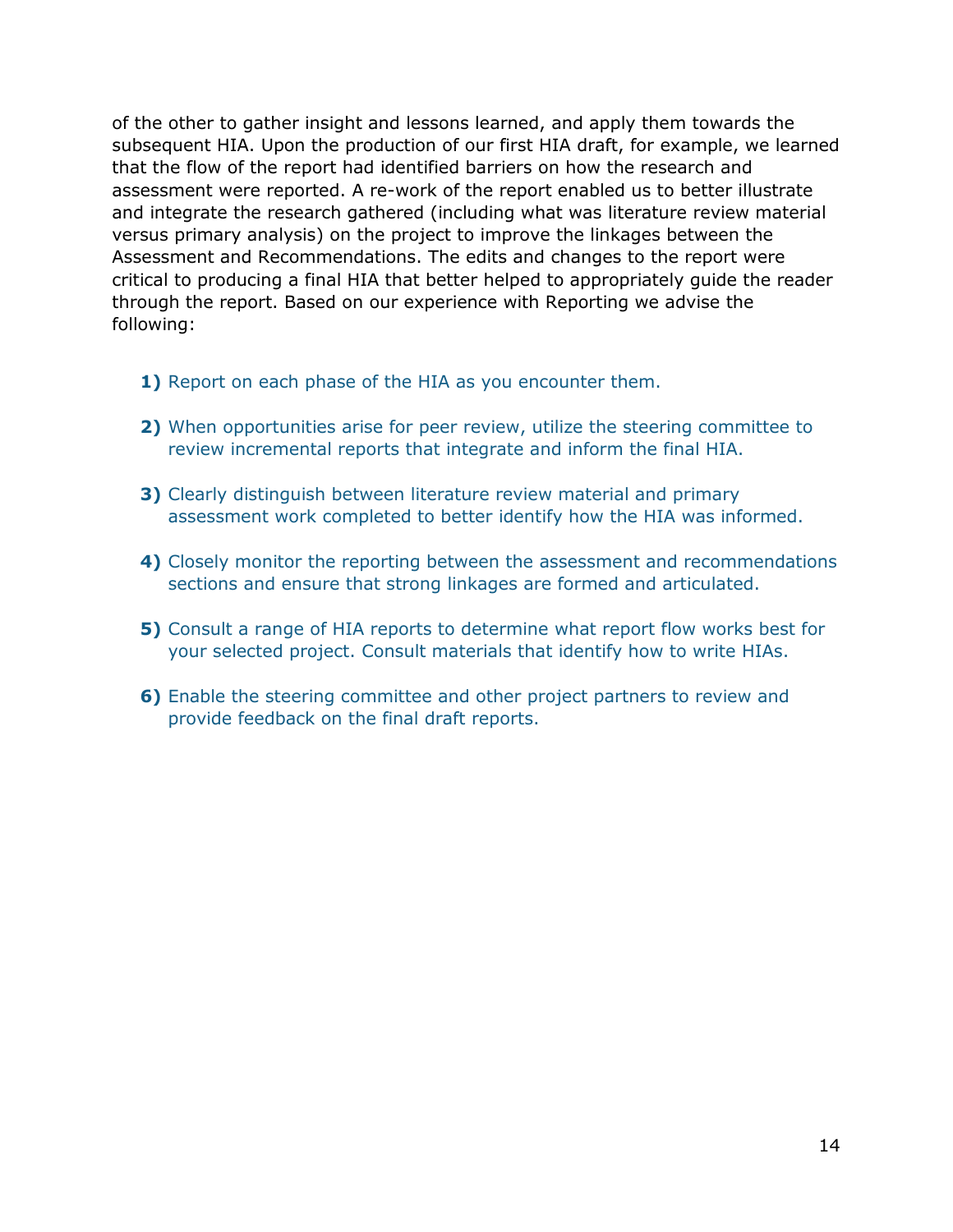of the other to gather insight and lessons learned, and apply them towards the subsequent HIA. Upon the production of our first HIA draft, for example, we learned that the flow of the report had identified barriers on how the research and assessment were reported. A re-work of the report enabled us to better illustrate and integrate the research gathered (including what was literature review material versus primary analysis) on the project to improve the linkages between the Assessment and Recommendations. The edits and changes to the report were critical to producing a final HIA that better helped to appropriately guide the reader through the report. Based on our experience with Reporting we advise the following:

- **1)** Report on each phase of the HIA as you encounter them.
- **2)** When opportunities arise for peer review, utilize the steering committee to review incremental reports that integrate and inform the final HIA.
- **3)** Clearly distinguish between literature review material and primary assessment work completed to better identify how the HIA was informed.
- **4)** Closely monitor the reporting between the assessment and recommendations sections and ensure that strong linkages are formed and articulated.
- **5)** Consult a range of HIA reports to determine what report flow works best for your selected project. Consult materials that identify how to write HIAs.
- **6)** Enable the steering committee and other project partners to review and provide feedback on the final draft reports.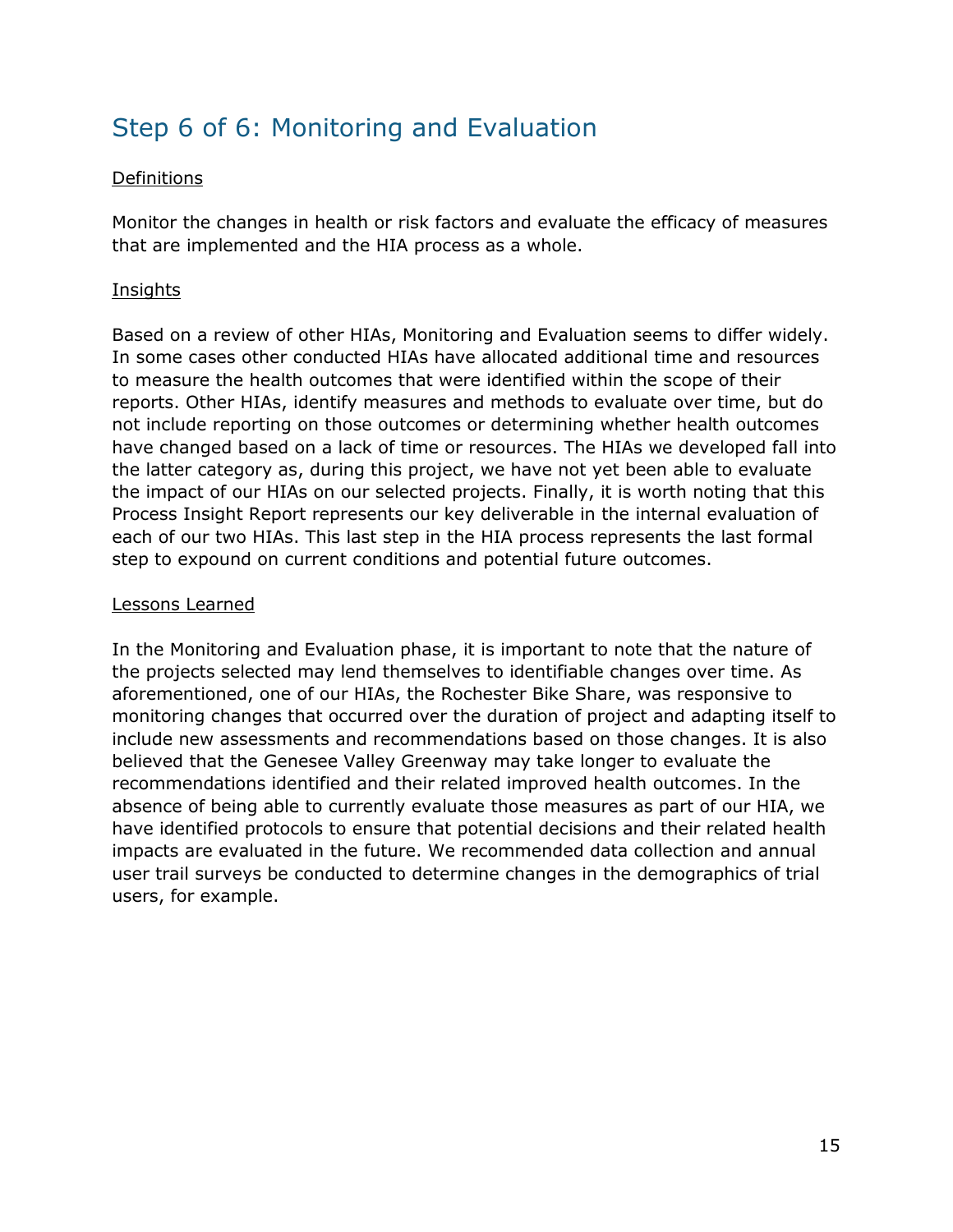### Step 6 of 6: Monitoring and Evaluation

#### Definitions

Monitor the changes in health or risk factors and evaluate the efficacy of measures that are implemented and the HIA process as a whole.

#### **Insights**

Based on a review of other HIAs, Monitoring and Evaluation seems to differ widely. In some cases other conducted HIAs have allocated additional time and resources to measure the health outcomes that were identified within the scope of their reports. Other HIAs, identify measures and methods to evaluate over time, but do not include reporting on those outcomes or determining whether health outcomes have changed based on a lack of time or resources. The HIAs we developed fall into the latter category as, during this project, we have not yet been able to evaluate the impact of our HIAs on our selected projects. Finally, it is worth noting that this Process Insight Report represents our key deliverable in the internal evaluation of each of our two HIAs. This last step in the HIA process represents the last formal step to expound on current conditions and potential future outcomes.

#### Lessons Learned

In the Monitoring and Evaluation phase, it is important to note that the nature of the projects selected may lend themselves to identifiable changes over time. As aforementioned, one of our HIAs, the Rochester Bike Share, was responsive to monitoring changes that occurred over the duration of project and adapting itself to include new assessments and recommendations based on those changes. It is also believed that the Genesee Valley Greenway may take longer to evaluate the recommendations identified and their related improved health outcomes. In the absence of being able to currently evaluate those measures as part of our HIA, we have identified protocols to ensure that potential decisions and their related health impacts are evaluated in the future. We recommended data collection and annual user trail surveys be conducted to determine changes in the demographics of trial users, for example.